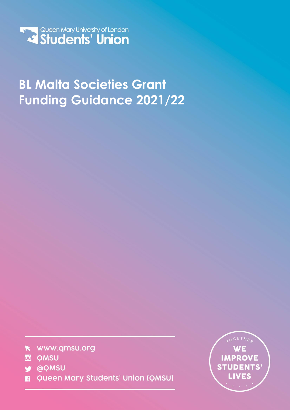

# **BL Malta Societies Grant Funding Guidance 2021/22**

- k www.qmsu.org
- **D** QMSU
- **y** @QMSU
- **Queen Mary Students' Union (QMSU)** п

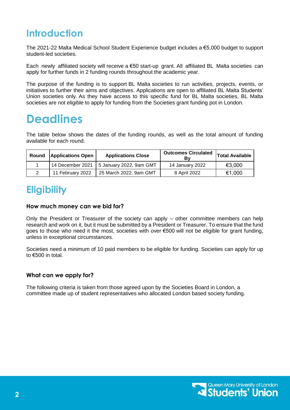# **Introduction**

The 2021-22 Malta Medical School Student Experience budget includes a €5,000 budget to support student-led societies.

Each newly affiliated society will receive a  $\epsilon$ 50 start-up grant. All affiliated BL Malta societies can apply for further funds in 2 funding rounds throughout the academic year.

The purpose of the funding is to support BL Malta societies to run activities, projects, events, or initiatives to further their aims and objectives. Applications are open to affiliated BL Malta Students' Union societies only. As they have access to this specific fund for BL Malta societies, BL Malta societies are not eligible to apply for funding from the Societies grant funding pot in London.

# **Deadlines**

The table below shows the dates of the funding rounds, as well as the total amount of funding available for each round.

| Round | <b>Applications Open</b> | <b>Applications Close</b> | <b>Outcomes Circulated</b><br>Bv | Total Available |
|-------|--------------------------|---------------------------|----------------------------------|-----------------|
|       | 14 December 2021         | 5 January 2022, 9am GMT   | 14 January 2022                  | €3,000          |
|       | 11 February 2022         | 25 March 2022, 9am GMT    | 8 April 2022                     | €1,000          |

### **Eligibility**

### **How much money can we bid for?**

Only the President or Treasurer of the society can apply – other committee members can help research and work on it, but it must be submitted by a President or Treasurer. To ensure that the fund goes to those who need it the most, societies with over €500 will not be eligible for grant funding, unless in exceptional circumstances.

Societies need a minimum of 10 paid members to be eligible for funding. Societies can apply for up to €500 in total.

### **What can we apply for?**

The following criteria is taken from those agreed upon by the Societies Board in London, a committee made up of student representatives who allocated London based society funding.

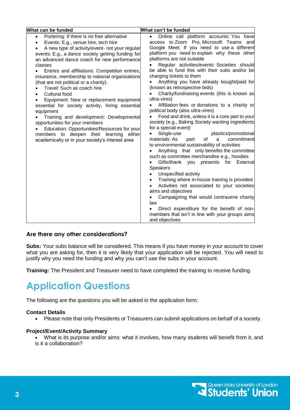| What can be funded                                                                                                                                                                                                                                                                                                                                                                                                                                                                                                                                                                                                                                                                                                                                                                                  | What can't be funded                                                                                                                                                                                                                                                                                                                                                                                                                                                                                                                                                                                                                                                                                                                                                                                                                                                                                                                                                                                                                                                                                                                                                                                                                                                                                                                                                                               |  |  |
|-----------------------------------------------------------------------------------------------------------------------------------------------------------------------------------------------------------------------------------------------------------------------------------------------------------------------------------------------------------------------------------------------------------------------------------------------------------------------------------------------------------------------------------------------------------------------------------------------------------------------------------------------------------------------------------------------------------------------------------------------------------------------------------------------------|----------------------------------------------------------------------------------------------------------------------------------------------------------------------------------------------------------------------------------------------------------------------------------------------------------------------------------------------------------------------------------------------------------------------------------------------------------------------------------------------------------------------------------------------------------------------------------------------------------------------------------------------------------------------------------------------------------------------------------------------------------------------------------------------------------------------------------------------------------------------------------------------------------------------------------------------------------------------------------------------------------------------------------------------------------------------------------------------------------------------------------------------------------------------------------------------------------------------------------------------------------------------------------------------------------------------------------------------------------------------------------------------------|--|--|
| Portering: If there is no free alternative<br>$\bullet$<br>Events: E.g., venue hire, tech hire<br>A new type of activity/event- not your regular<br>events: E.g., a dance society getting funding for<br>an advanced dance coach for new performance<br>classes<br>Entries and affiliations: Competition entries,<br>insurance, membership to national organisations<br>(that are not political or a charity).<br>Travel: Such as coach hire<br>Cultural food<br>Equipment: New or replacement equipment<br>essential for society activity, hiring essential<br>equipment<br>Training and development: Developmental<br>opportunities for your members<br>Education: Opportunities/Resources for your<br>members to deepen their learning either<br>academically or in your society's interest area | Online call platform accounts: You have<br>$\bullet$<br>access to Zoom Pro, Microsoft Teams and<br>Google Meet: If you need to use a different<br>platform you need to explain why these other<br>platforms are not suitable<br>Regular activities/events: Societies should<br>be able to fund this with their subs and/or be<br>charging tickets to them<br>Anything you have already bought/paid for<br>(known as retrospective bids)<br>Charity/fundraising events (this is known as<br>ultra-vires)<br>Affiliation fees or donations to a charity or<br>political body (also ultra-vires)<br>Food and drink, unless it is a core part to your<br>society (e.g., Baking Society wanting ingredients<br>for a special event)<br>Single-use<br>plastics/promotional<br>of<br>materials: As<br>commitment<br>a<br>part<br>to environmental sustainability of activities<br>Anything that only benefits the committee<br>such as committee merchandise e.g., hoodies<br>Gifts/thank<br>you presents for<br>External<br><b>Speakers</b><br>Unspecified activity<br>Training where in-house training is provided<br>$\bullet$<br>Activities not associated to your societies<br>$\bullet$<br>aims and objectives<br>Campaigning that would contravene charity<br>$\bullet$<br>law<br>Direct expenditure for the benefit of non-<br>members that isn't in line with your groups aims<br>and objectives |  |  |

### **Are there any other considerations?**

**Subs:** Your subs balance will be considered. This means if you have money in your account to cover what you are asking for, then it is very likely that your application will be rejected. You will need to justify why you need the funding and why you can't use the subs in your account.

**Training:** The President and Treasurer need to have completed the training to receive funding.

# **Application Questions**

The following are the questions you will be asked in the application form:

### **Contact Details**

Please note that only Presidents or Treasurers can submit applications on behalf of a society.

### **Project/Event/Activity Summary**

 What is its purpose and/or aims: what it involves, how many students will benefit from it, and is it a collaboration?

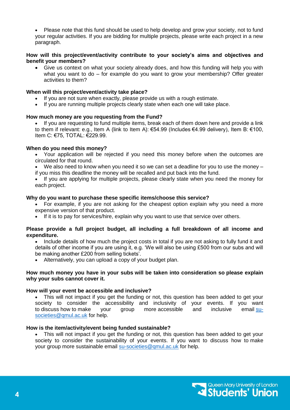Please note that this fund should be used to help develop and grow your society, not to fund your regular activities. If you are bidding for multiple projects, please write each project in a new paragraph.

#### **How will this project/event/activity contribute to your society's aims and objectives and benefit your members?**

 Give us context on what your society already does, and how this funding will help you with what you want to do – for example do you want to grow your membership? Offer greater activities to them?

#### **When will this project/event/activity take place?**

- If you are not sure when exactly, please provide us with a rough estimate.
- If you are running multiple projects clearly state when each one will take place.

#### **How much money are you requesting from the Fund?**

 If you are requesting to fund multiple items, break each of them down here and provide a link to them if relevant: e.g., Item A (link to Item A): €54.99 (Includes €4.99 delivery), Item B: €100, Item C: €75, TOTAL: €229.99.

#### **When do you need this money?**

- Your application will be rejected if you need this money before when the outcomes are circulated for that round.
- We also need to know when you need it so we can set a deadline for you to use the money if you miss this deadline the money will be recalled and put back into the fund.

 If you are applying for multiple projects, please clearly state when you need the money for each project.

#### **Why do you want to purchase these specific items/choose this service?**

 For example, if you are not asking for the cheapest option explain why you need a more expensive version of that product.

• If it is to pay for services/hire, explain why you want to use that service over others.

#### **Please provide a full project budget, all including a full breakdown of all income and expenditure.**

- Include details of how much the project costs in total if you are not asking to fully fund it and details of other income if you are using it, e.g. 'We will also be using £500 from our subs and will be making another £200 from selling tickets'.
- Alternatively, you can upload a copy of your budget plan.

#### **How much money you have in your subs will be taken into consideration so please explain why your subs cannot cover it.**

#### **How will your event be accessible and inclusive?**

 This will not impact if you get the funding or not, this question has been added to get your society to consider the accessibility and inclusivity of your events. If you want to discuss how to make your group more accessible and inclusive email [su](mailto:su-societies@qmul.ac.uk)[societies@qmul.ac.uk](mailto:su-societies@qmul.ac.uk) for help.

#### **How is the item/activity/event being funded sustainable?**

 This will not impact if you get the funding or not, this question has been added to get your society to consider the sustainability of your events. If you want to discuss how to make your group more sustainable email [su-societies@qmul.ac.uk](mailto:su-societies@qmul.ac.uk) for help.

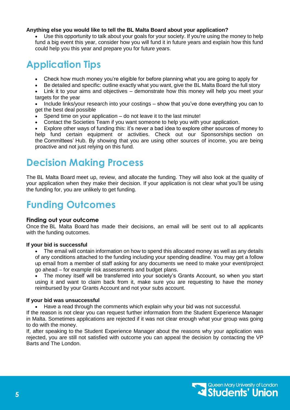#### **Anything else you would like to tell the BL Malta Board about your application?**

 Use this opportunity to talk about your goals for your society. If you're using the money to help fund a big event this year, consider how you will fund it in future years and explain how this fund could help you this year and prepare you for future years.

### **Application Tips**

- Check how much money you're eligible for before planning what you are going to apply for
- Be detailed and specific: outline exactly what you want, give the BL Malta Board the full story
- Link it to your aims and objectives demonstrate how this money will help you meet your targets for the year
- Include links/your research into your costings show that you've done everything you can to get the best deal possible
- Spend time on your application do not leave it to the last minute!
- Contact the Societies Team if you want someone to help you with your application.

 Explore other ways of funding this: it's never a bad idea to explore other sources of money to help fund certain equipment or activities. Check out our Sponsorships section on the Committees' Hub. By showing that you are using other sources of income, you are being proactive and not just relying on this fund.

### **Decision Making Process**

The BL Malta Board meet up, review, and allocate the funding. They will also look at the quality of your application when they make their decision. If your application is not clear what you'll be using the funding for, you are unlikely to get funding.

# **Funding Outcomes**

#### **Finding out your outcome**

Once the BL Malta Board has made their decisions, an email will be sent out to all applicants with the funding outcomes.

#### **If your bid is successful**

• The email will contain information on how to spend this allocated money as well as any details of any conditions attached to the funding including your spending deadline. You may get a follow up email from a member of staff asking for any documents we need to make your event/project go ahead – for example risk assessments and budget plans.

 The money itself will be transferred into your society's Grants Account, so when you start using it and want to claim back from it, make sure you are requesting to have the money reimbursed by your Grants Account and not your subs account.

#### **If your bid was unsuccessful**

Have a read through the comments which explain why your bid was not successful.

If the reason is not clear you can request further information from the Student Experience Manager in Malta. Sometimes applications are rejected if it was not clear enough what your group was going to do with the money.

If, after speaking to the Student Experience Manager about the reasons why your application was rejected, you are still not satisfied with outcome you can appeal the decision by contacting the VP Barts and The London.